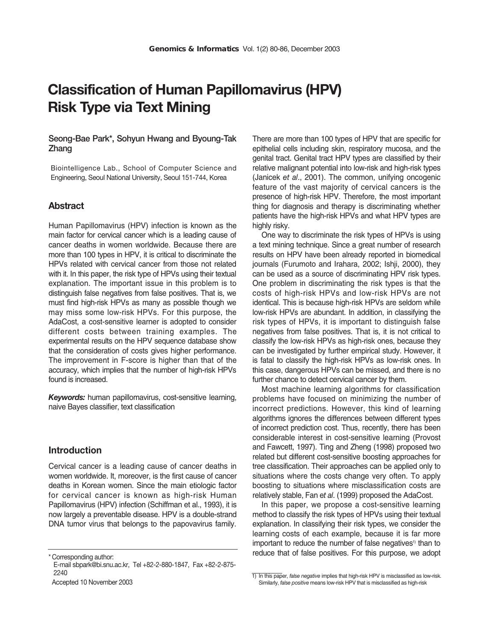# **Classification of Human Papillomavirus (HPV) Risk Type via Text Mining**

## **Seong-Bae Park\*, Sohyun Hwang and Byoung-Tak Zhang**

Biointelligence Lab., School of Computer Science and Engineering, Seoul National University, Seoul 151-744, Korea

# **Abstract**

Human Papillomavirus (HPV) infection is known as the main factor for cervical cancer which is a leading cause of cancer deaths in women worldwide. Because there are more than 100 types in HPV, it is critical to discriminate the HPVs related with cervical cancer from those not related with it. In this paper, the risk type of HPVs using their textual explanation. The important issue in this problem is to distinguish false negatives from false positives. That is, we must find high-risk HPVs as many as possible though we may miss some low-risk HPVs. For this purpose, the AdaCost, a cost-sensitive learner is adopted to consider different costs between training examples. The experimental results on the HPV sequence database show that the consideration of costs gives higher performance. The improvement in F-score is higher than that of the accuracy, which implies that the number of high-risk HPVs found is increased.

*Keywords:* human papillomavirus, cost-sensitive learning, naive Bayes classifier, text classification

# **Introduction**

Cervical cancer is a leading cause of cancer deaths in women worldwide. It, moreover, is the first cause of cancer deaths in Korean women. Since the main etiologic factor for cervical cancer is known as high-risk Human Papillomavirus (HPV) infection (Schiffman et al., 1993), it is now largely a preventable disease. HPV is a double-strand DNA tumor virus that belongs to the papovavirus family.

Accepted 10 November 2003

There are more than 100 types of HPV that are specific for epithelial cells including skin, respiratory mucosa, and the genital tract. Genital tract HPV types are classified by their relative malignant potential into low-risk and high-risk types (Janicek *et al*., 2001). The common, unifying oncogenic feature of the vast majority of cervical cancers is the presence of high-risk HPV. Therefore, the most important thing for diagnosis and therapy is discriminating whether patients have the high-risk HPVs and what HPV types are highly risky.

One way to discriminate the risk types of HPVs is using a text mining technique. Since a great number of research results on HPV have been already reported in biomedical journals (Furumoto and Irahara, 2002; Ishji, 2000), they can be used as a source of discriminating HPV risk types. One problem in discriminating the risk types is that the costs of high-risk HPVs and low-risk HPVs are not identical. This is because high-risk HPVs are seldom while low-risk HPVs are abundant. In addition, in classifying the risk types of HPVs, it is important to distinguish false negatives from false positives. That is, it is not critical to classify the low-risk HPVs as high-risk ones, because they can be investigated by further empirical study. However, it is fatal to classify the high-risk HPVs as low-risk ones. In this case, dangerous HPVs can be missed, and there is no further chance to detect cervical cancer by them.

Most machine learning algorithms for classification problems have focused on minimizing the number of incorrect predictions. However, this kind of learning algorithms ignores the differences between different types of incorrect prediction cost. Thus, recently, there has been considerable interest in cost-sensitive learning (Provost and Fawcett, 1997). Ting and Zheng (1998) proposed two related but different cost-sensitive boosting approaches for tree classification. Their approaches can be applied only to situations where the costs change very often. To apply boosting to situations where misclassification costs are relatively stable, Fan e*t al*. (1999) proposed the AdaCost.

In this paper, we propose a cost-sensitive learning method to classify the risk types of HPVs using their textual explanation. In classifying their risk types, we consider the learning costs of each example, because it is far more important to reduce the number of false negatives<sup>1)</sup> than to reduce that of false positives. For this purpose, we adopt

<sup>\*</sup> Corresponding author:

E-mail sbpark@bi.snu.ac.kr, Tel +82-2-880-1847, Fax +82-2-875- 2240

<sup>1)</sup> In this paper, *false negative* implies that high-risk HPV is misclassified as low-risk. Similarly, *false positive* means low-risk HPV that is misclassified as high-risk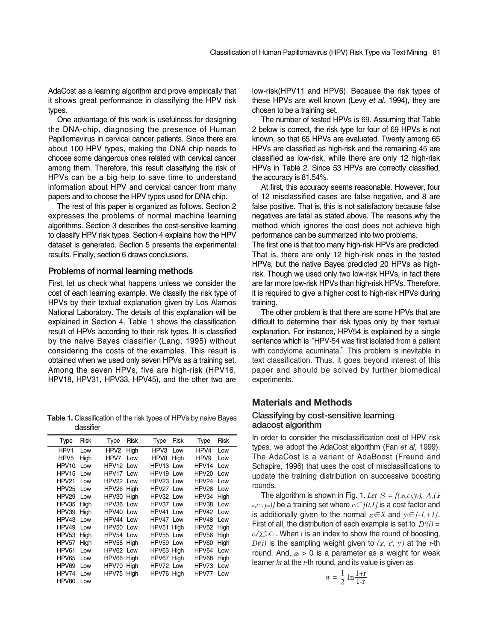AdaCost as a learning algorithm and prove empirically that it shows great performance in classifying the HPV risk types.

One advantage of this work is usefulness for designing the DNA-chip, diagnosing the presence of Human Papillomavirus in cervical cancer patients. Since there are about 100 HPV types, making the DNA chip needs to choose some dangerous ones related with cervical cancer among them. Therefore, this result classifying the risk of HPVs can be a big help to save time to understand information about HPV and cervical cancer from many papers and to choose the HPV types used for DNA chip.

The rest of this paper is organized as follows. Section 2 expresses the problems of normal machine learning algorithms. Section 3 describes the cost-sensitive learning to classify HPV risk types. Section 4 explains how the HPV dataset is generated. Section 5 presents the experimental results. Finally, section 6 draws conclusions.

#### **Problems of normal learning methods**

First, let us check what happens unless we consider the cost of each learning example. We classify the risk type of HPVs by their textual explanation given by Los Alamos National Laboratory. The details of this explanation will be explained in Section 4. Table 1 shows the classification result of HPVs according to their risk types. It is classified by the naive Bayes classifier (Lang, 1995) without considering the costs of the examples. This result is obtained when we used only seven HPVs as a training set. Among the seven HPVs, five are high-risk (HPV16, HPV18, HPV31, HPV33, HPV45), and the other two are

**Table 1.** Classification of the risk types of HPVs by naive Bayes classifier

| Type              | Risk | Type             | Risk | Type       | <b>Risk</b> | Type             | <b>Risk</b> |
|-------------------|------|------------------|------|------------|-------------|------------------|-------------|
| HPV1              | Low  | HPV <sub>2</sub> | High | HPV3       | Low         | HPV4             | Low         |
| HPV <sub>5</sub>  | High | HPV7             | Low  | HPV8       | High        | HPV <sub>9</sub> | Low         |
| HPV <sub>10</sub> | Low  | HPV12            | Low  | HPV13      | Low         | HPV14            | Low         |
| HPV <sub>15</sub> | Low  | HPV17            | Low  | HPV19 Low  |             | HPV20            | Low         |
| HPV21             | Low  | HPV22 Low        |      | HPV23 Low  |             | HPV24            | Low         |
| HPV25             | Low  | HPV26 High       |      | HPV27 Low  |             | HPV28            | Low         |
| HPV29             | l ow | HPV30 High       |      | HPV32 Low  |             | HPV34            | High        |
| HPV35             | High | HPV36            | Low  | HPV37 Low  |             | HPV38            | Low         |
| HPV39             | High | HPV40            | Low  | HPV41      | Low         | HPV42            | Low         |
| HPV43             | Low  | HPV44            | Low  | HPV47 Low  |             | HPV48            | Low         |
| HPV49             | Low  | HPV50 Low        |      | HPV51 High |             | HPV52            | High        |
| HPV53             | High | HPV54            | Low  | HPV55 Low  |             | HPV56            | High        |
| HPV57             | High | HPV58 High       |      | HPV59 Low  |             | HPV60            | High        |
| HPV61             | Low  | HPV62 Low        |      | HPV63 High |             | HPV64            | Low         |
| HPV65             | Low  | HPV66            | High | HPV67 High |             | HPV68            | High        |
| HPV69             | Low  | HPV70 High       |      | HPV72 Low  |             | HPV73            | Low         |
| HPV74             | Low  | HPV75 High       |      | HPV76 High |             | HPV77            | Low         |
| HPV80             | Low  |                  |      |            |             |                  |             |

low-risk(HPV11 and HPV6). Because the risk types of these HPVs are well known (Levy *et al*, 1994), they are chosen to be a training set.

The number of tested HPVs is 69. Assuming that Table 2 below is correct, the risk type for four of 69 HPVs is not known, so that 65 HPVs are evaluated. Twenty among 65 HPVs are classified as high-risk and the remaining 45 are classified as low-risk, while there are only 12 high-risk HPVs in Table 2. Since 53 HPVs are correctly classified, the accuracy is 81.54%.

At first, this accuracy seems reasonable. However, four of 12 misclassified cases are false negative, and 8 are false positive. That is, this is not satisfactory because false negatives are fatal as stated above. The reasons why the method which ignores the cost does not achieve high performance can be summarized into two problems.

The first one is that too many high-risk HPVs are predicted. That is, there are only 12 high-risk ones in the tested HPVs, but the native Bayes predicted 20 HPVs as highrisk. Though we used only two low-risk HPVs, in fact there are far more low-risk HPVs than high-risk HPVs. Therefore, it is required to give a higher cost to high-risk HPVs during training.

The other problem is that there are some HPVs that are difficult to determine their risk types only by their textual explanation. For instance, HPV54 is explained by a single sentence which is "HPV-54 was first isolated from a patient with condyloma acuminata." This problem is inevitable in text classification. Thus, it goes beyond interest of this paper and should be solved by further biomedical experiments.

## **Materials and Methods**

#### **Classifying by cost-sensitive learning adacost algorithm**

In order to consider the misclassification cost of HPV risk types, we adopt the AdaCost algorithm (Fan *et al*, 1999). The AdaCost is a variant of AdaBoost (Freund and Schapire, 1996) that uses the cost of misclassifications to update the training distribution on successive boosting rounds.

The algorithm is shown in Fig. 1. Let  $S = \{(x_i, c_i, y_i), \Lambda_i(x_i)\}$ *m,cm,ym)}* be a training set where *ci*∈*[0,1]* is a cost factor and is additionally given to the normal <sup>χ</sup>*i*∈*X* and *yi*∈*{-1,+1}*. First of all, the distribution of each example is set to  $D'(i)$  =  $c/\sum_{i=1}^m C_i$ . When *t* is an index to show the round of boosting,  $Dt(i)$  is the sampling weight given to  $(x^i, c^i, y^j)$  at the *t*-th round. And,  $\alpha$  > 0 is a parameter as a weight for weak learner *ht* at the *t*-th round, and its value is given as

$$
\alpha_t = \frac{1}{2} \ln \frac{1+r}{1-r}
$$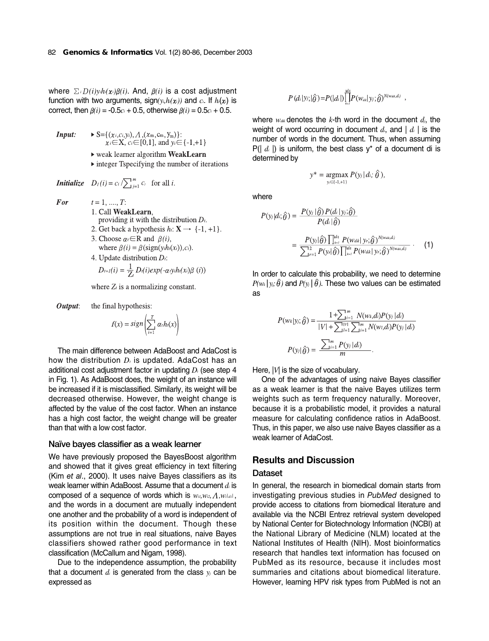where ∑*i*D*(i)yihi(*χ*i)*β*(i)*. And, β*(i)* is a cost adjustment function with two arguments,  $sign(y_i, h_i(x_i))$  and  $c_i$ . If  $h_i(x_i)$  is correct, then  $\beta(i) = -0.5c_i + 0.5$ , otherwise  $\beta(i) = 0.5c_i + 0.5$ .

**Input:** 
$$
\triangleright S = \{ (x_i, c_i, y_i), A, (x_m, c_m, y_m) \}
$$
:  
 $x_i \in X, c_i \in [0,1]$ , and  $y_i \in \{-1, +1\}$ 

- ▶ weak learner algorithm WeakLearn
- $\triangleright$  integer Tspecifying the number of iterations

 $\overline{\phantom{a}}$ 

**Initialize** 
$$
D_l(i) = c_i / \sum_{j=1}^m c_j
$$
 for all *i*.

- For
- $t = 1, \dots, T$ : 1. Call WeakLearn. providing it with the distribution  $D_t$ .
- 2. Get back a hypothesis  $h: \mathbf{X} \rightarrow \{-1, +1\}.$
- 3. Choose  $\alpha_i \in \mathbb{R}$  and  $\beta(i)$ , where  $\beta(i) = \beta(\text{sign}(y_i h_i(x_i)), c_i)$ .

4. Update distribution *D<sub>i</sub>*:  
\n
$$
D_{i+1}(i) = \frac{1}{Z_i} D_i(i) exp(-\alpha y_i h_i(x_i))
$$

where  $Z_t$  is a normalizing constant.

Output: the final hypothesis:

$$
f(x) = sign\left(\sum_{i=1}^{T} \alpha_i h_i(x)\right)
$$

The main difference between AdaBoost and AdaCost is how the distribution  $D_i$  is updated. AdaCost has an additional cost adjustment factor in updating *D*<sub>t</sub> (see step 4 in Fig. 1). As AdaBoost does, the weight of an instance will be increased if it is misclassified. Similarly, its weight will be decreased otherwise. However, the weight change is affected by the value of the cost factor. When an instance has a high cost factor, the weight change will be greater than that with a low cost factor.

#### **Naïve bayes classifier as a weak learner**

We have previously proposed the BayesBoost algorithm and showed that it gives great efficiency in text filtering (Kim *et al*., 2000). It uses naive Bayes classifiers as its weak learner within AdaBoost. Assume that a document *di* is composed of a sequence of words which is  $w_{ii}, w_{i2}, \Lambda, w_{i|di|}$ , and the words in a document are mutually independent one another and the probability of a word is independent of its position within the document. Though these assumptions are not true in real situations, naive Bayes classifiers showed rather good performance in text classification (McCallum and Nigam, 1998).

Due to the independence assumption, the probability that a document *di* is generated from the class *yj* can be expressed as

$$
P\left(d_i|y_j;\big|\hat{\theta}\right) = P(|d_i|) \prod_{i=1}^{|d_i|} P(w_{ak}|y_i;\hat{\theta})^{N(w_{dk},d_i)}
$$

where *wdik* denotes the *k*-th word in the document *dj*, the weight of word occurring in document *di*, and | *di* | is the number of words in the document. Thus, when assuming P(| *di* |) is uniform, the best class y\* of a document di is determined by

$$
y^* = \underset{y_i \in \{1, +1\}}{\operatorname{argmax}} P(y_i | d_i; \hat{\theta}),
$$

where

$$
P(y_i|d;\hat{\theta}) = \frac{P(y_i|\hat{\theta}) P(d_i|y;\hat{\theta})}{P(d_i|\hat{\theta})}
$$
  
= 
$$
\frac{P(y_i|\hat{\theta}) \prod_{k=1}^{ld} P(w_{dk}|y;\hat{\theta})^{N(w_{dk},d)}}{\sum_{j=1}^{1/2} P(y_j|\hat{\theta}) \prod_{k=1}^{ld} P(w_{dk}|y;\hat{\theta})^{N(w_{dk},d)}}.
$$
 (1)

In order to calculate this probability, we need to determine  $P(w_k|y_k;\hat{\theta})$  and  $P(y_k|\hat{\theta})$ . These two values can be estimated as

$$
P(w_k|y_j; \hat{\theta}) = \frac{1 + \sum_{j=1}^{m} N(w_k, d_i) P(y_j | d_i)}{|V| + \sum_{j=1}^{|\mathcal{W}|} \sum_{j=1}^{m} N(w_l, d_i) P(y_j | d_i)}
$$

$$
P(y_j|\hat{\theta}) = \frac{\sum_{j=1}^{m} P(y_j | d_i)}{m}.
$$

Here,  $|V|$  is the size of vocabulary.

One of the advantages of using naive Bayes classifier as a weak learner is that the naive Bayes utilizes term weights such as term frequency naturally. Moreover, because it is a probabilistic model, it provides a natural measure for calculating confidence ratios in AdaBoost. Thus, in this paper, we also use naive Bayes classifier as a weak learner of AdaCost.

# **Results and Discussion**

#### **Dataset**

In general, the research in biomedical domain starts from investigating previous studies in *PubMed* designed to provide access to citations from biomedical literature and available via the NCBI Entrez retrieval system developed by National Center for Biotechnology Information (NCBI) at the National Library of Medicine (NLM) located at the National Institutes of Health (NIH). Most bioinformatics research that handles text information has focused on PubMed as its resource, because it includes most summaries and citations about biomedical literature. However, learning HPV risk types from PubMed is not an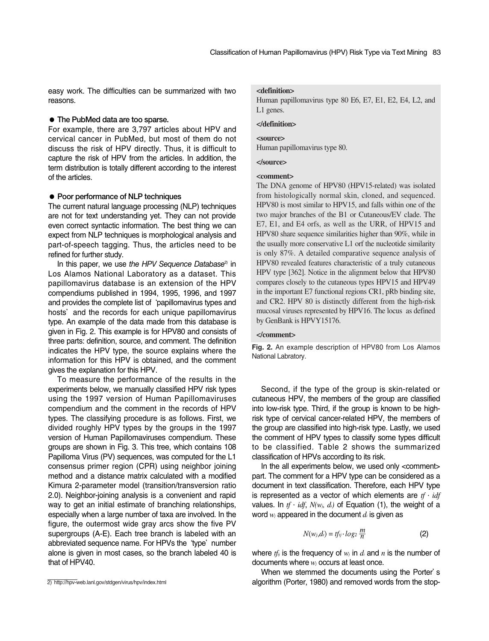easy work. The difficulties can be summarized with two reasons.

# ● **The PubMed data are too sparse.**

For example, there are 3,797 articles about HPV and cervical cancer in PubMed, but most of them do not discuss the risk of HPV directly. Thus, it is difficult to capture the risk of HPV from the articles. In addition, the term distribution is totally different according to the interest of the articles.

#### ● **Poor performance of NLP techniques**

The current natural language processing (NLP) techniques are not for text understanding yet. They can not provide even correct syntactic information. The best thing we can expect from NLP techniques is morphological analysis and part-of-speech tagging. Thus, the articles need to be refined for further study.

In this paper, we use *the HPV Sequence Database<sup>2)</sup>* in Los Alamos National Laboratory as a dataset. This papillomavirus database is an extension of the HPV compendiums published in 1994, 1995, 1996, and 1997 and provides the complete list of 'papillomavirus types and hosts' and the records for each unique papillomavirus type. An example of the data made from this database is given in Fig. 2. This example is for HPV80 and consists of three parts: definition, source, and comment. The definition indicates the HPV type, the source explains where the information for this HPV is obtained, and the comment gives the explanation for this HPV.

To measure the performance of the results in the experiments below, we manually classified HPV risk types using the 1997 version of Human Papillomaviruses compendium and the comment in the records of HPV types. The classifying procedure is as follows. First, we divided roughly HPV types by the groups in the 1997 version of Human Papillomaviruses compendium. These groups are shown in Fig. 3. This tree, which contains 108 Papilloma Virus (PV) sequences, was computed for the L1 consensus primer region (CPR) using neighbor joining method and a distance matrix calculated with a modified Kimura 2-parameter model (transition/transversion ratio 2.0). Neighbor-joining analysis is a convenient and rapid way to get an initial estimate of branching relationships, especially when a large number of taxa are involved. In the figure, the outermost wide gray arcs show the five PV supergroups (A-E). Each tree branch is labeled with an abbreviated sequence name. For HPVs the 'type' number alone is given in most cases, so the branch labeled 40 is that of HPV40.

2) http://hpv-web.lanl.gov/stdgen/virus/hpv/index.html

#### **<definition>**

Human papillomavirus type 80 E6, E7, E1, E2, E4, L2, and L1 genes.

#### **</definition>**

#### **<source>**

Human papillomavirus type 80.

# **</source>**

# **<comment>**

The DNA genome of HPV80 (HPV15-related) was isolated from histologically normal skin, cloned, and sequenced. HPV80 is most similar to HPV15, and falls within one of the two major branches of the B1 or Cutaneous/EV clade. The E7, E1, and E4 orfs, as well as the URR, of HPV15 and HPV80 share sequence similarities higher than 90%, while in the usually more conservative L1 orf the nucleotide similarity is only 87%. A detailed comparative sequence analysis of HPV80 revealed features characteristic of a truly cutaneous HPV type [362]. Notice in the alignment below that HPV80 compares closely to the cutaneous types HPV15 and HPV49 in the important E7 functional regions CR1, pRb binding site, and CR2. HPV 80 is distinctly different from the high-risk mucosal viruses represented by HPV16. The locus as defined by GenBank is HPVY15176.

#### **</comment>**

**Fig. 2.** An example description of HPV80 from Los Alamos National Labratory.

Second, if the type of the group is skin-related or cutaneous HPV, the members of the group are classified into low-risk type. Third, if the group is known to be highrisk type of cervical cancer-related HPV, the members of the group are classified into high-risk type. Lastly, we used the comment of HPV types to classify some types difficult to be classified. Table 2 shows the summarized classification of HPVs according to its risk.

In the all experiments below, we used only <comment> part. The comment for a HPV type can be considered as a document in text classification. Therefore, each HPV type is represented as a vector of which elements are *tf*·*idf* values. In  $tf \cdot idf$ ,  $N(w_i, d_i)$  of Equation (1), the weight of a word *wj* appeared in the document *di* is given as

$$
N(w_j, d_i) = tf_{ij} \cdot log_2 \frac{m}{n}
$$
 (2)

where  $tf_{ij}$  is the frequency of  $w_j$  in  $d_i$  and  $n$  is the number of documents where *wj* occurs at least once.

When we stemmed the documents using the Porter's algorithm (Porter, 1980) and removed words from the stop-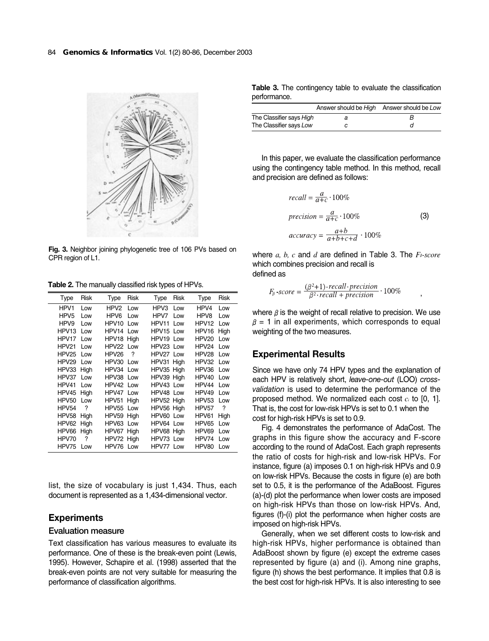

**Fig. 3.** Neighbor joining phylogenetic tree of 106 PVs based on CPR region of L1.

**Table 2.** The manually classified risk types of HPVs.

| Type              | Risk | Type              | <b>Risk</b> | Type       | Risk | Type              | <b>Risk</b> |
|-------------------|------|-------------------|-------------|------------|------|-------------------|-------------|
| HPV1              | Low  | HPV2              | Low         | HPV3       | Low  | HPV4              | Low         |
| HPV <sub>5</sub>  | Low  | HPV6              | Low         | HPV7       | Low  | HPV8              | Low         |
| HPV9              | Low  | HPV <sub>10</sub> | Low         | HPV11      | Low  | HPV <sub>12</sub> | Low         |
| HPV <sub>13</sub> | Low  | HPV14             | Low         | HPV15 Low  |      | HPV16             | High        |
| HPV17             | Low  | HPV18 High        |             | HPV19 Low  |      | HPV20             | Low         |
| HPV21             | Low  | HPV22 Low         |             | HPV23 Low  |      | HPV24             | Low         |
| HPV25             | Low  | HPV26             | ?           | HPV27 Low  |      | HPV28             | l ow        |
| HPV29             | Low  | HPV30             | Low         | HPV31 High |      | HPV32             | Low         |
| HPV33             | High | HPV34             | Low         | HPV35 High |      | HPV36             | Low         |
| HPV37             | Low  | HPV38 Low         |             | HPV39 High |      | HPV40             | Low         |
| HPV41             | Low  | HPV42 Low         |             | HPV43 Low  |      | HPV44             | Low         |
| HPV45             | High | HPV47 Low         |             | HPV48 Low  |      | HPV49             | Low         |
| HPV50             | Low  | HPV51             | High        | HPV52 High |      | HPV53             | Low         |
| HPV54             | ?    | HPV55             | Low         | HPV56 High |      | HPV <sub>57</sub> | ?           |
| HPV58             | High | HPV59 High        |             | HPV60 Low  |      | HPV61             | High        |
| HPV62             | High | HPV63 Low         |             | HPV64 Low  |      | HPV65             | Low         |
| HPV66             | High | HPV67 High        |             | HPV68 High |      | HPV69             | Low         |
| HPV70             | ?    | HPV72 High        |             | HPV73 Low  |      | HPV74             | Low         |
| HPV75             | Low  | HPV76 Low         |             | HPV77 Low  |      | HPV80             | Low         |

list, the size of vocabulary is just 1,434. Thus, each document is represented as a 1,434-dimensional vector.

# **Experiments**

#### **Evaluation measure**

Text classification has various measures to evaluate its performance. One of these is the break-even point (Lewis, 1995). However, Schapire et al. (1998) asserted that the break-even points are not very suitable for measuring the performance of classification algorithms.

|              |  |  |  | Table 3. The contingency table to evaluate the classification |
|--------------|--|--|--|---------------------------------------------------------------|
| performance. |  |  |  |                                                               |

|                          | Answer should be High Answer should be Low |  |
|--------------------------|--------------------------------------------|--|
| The Classifier says High |                                            |  |
| The Classifier says Low  |                                            |  |

In this paper, we evaluate the classification performance using the contingency table method. In this method, recall and precision are defined as follows:

$$
recall = \frac{a}{a+c} \cdot 100\%
$$
  
precision =  $\frac{a}{a+c} \cdot 100\%$  (3)  
accuracy =  $\frac{a+b}{a+b+c+d} \cdot 100\%$ 

,

where *a, b, c* and *d* are defined in Table 3. The *F*β*-score* which combines precision and recall is defined as

$$
F_{\beta}\text{-}score = \frac{(\beta^2+1)\text{-}recall\text{-}\mathit{precision}}{\beta^2\text{-}\mathit{recall} + \mathit{precision}}\cdot 100\%
$$

where  $\beta$  is the weight of recall relative to precision. We use  $\beta$  = 1 in all experiments, which corresponds to equal weighting of the two measures.

# **Experimental Results**

Since we have only 74 HPV types and the explanation of each HPV is relatively short, *leave-one-out* (LOO) *crossvalidation* is used to determine the performance of the proposed method. We normalized each cost *ci* to [0, 1]. That is, the cost for low-risk HPVs is set to 0.1 when the cost for high-risk HPVs is set to 0.9.

Fig. 4 demonstrates the performance of AdaCost. The graphs in this figure show the accuracy and F-score according to the round of AdaCost. Each graph represents the ratio of costs for high-risk and low-risk HPVs. For instance, figure (a) imposes 0.1 on high-risk HPVs and 0.9 on low-risk HPVs. Because the costs in figure (e) are both set to 0.5, it is the performance of the AdaBoost. Figures (a)-(d) plot the performance when lower costs are imposed on high-risk HPVs than those on low-risk HPVs. And, figures (f)-(i) plot the performance when higher costs are imposed on high-risk HPVs.

Generally, when we set different costs to low-risk and high-risk HPVs, higher performance is obtained than AdaBoost shown by figure (e) except the extreme cases represented by figure (a) and (i). Among nine graphs, figure (h) shows the best performance. It implies that 0.8 is the best cost for high-risk HPVs. It is also interesting to see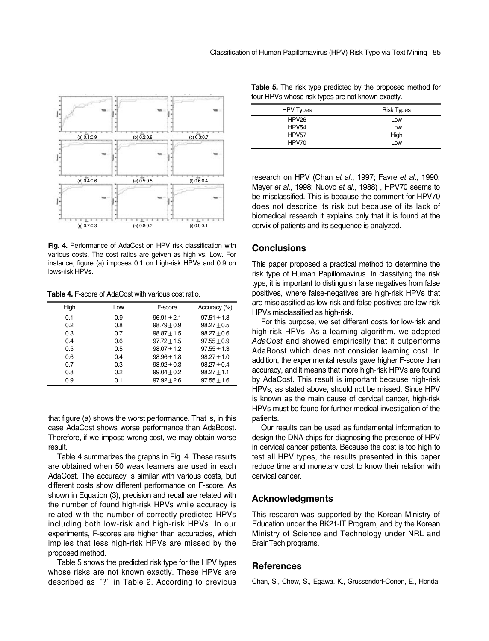

**Fig. 4.** Performance of AdaCost on HPV risk classification with various costs. The cost ratios are geiven as high vs. Low. For instance, figure (a) imposes 0.1 on high-risk HPVs and 0.9 on lows-risk HPVs.

**Table 4.** F-score of AdaCost with various cost ratio.

| High | Low | F-score       | Accuracy (%)    |
|------|-----|---------------|-----------------|
| 0.1  | 0.9 | $96.91 + 2.1$ | $97.51 + 1.8$   |
| 0.2  | 0.8 | $98.79 + 0.9$ | $98.27 + 0.5$   |
| 0.3  | 0.7 | $98.87 + 1.5$ | $98.27 \pm 0.6$ |
| 0.4  | 0.6 | $97.72 + 1.5$ | $97.55 + 0.9$   |
| 0.5  | 0.5 | $98.07 + 1.2$ | $97.55 + 1.3$   |
| 0.6  | 0.4 | $98.96 + 1.8$ | $98.27 \pm 1.0$ |
| 0.7  | 0.3 | $98.92 + 0.3$ | $98.27 + 0.4$   |
| 0.8  | 0.2 | $99.04 + 0.2$ | $98.27 \pm 1.1$ |
| 0.9  | 0.1 | $97.92 + 2.6$ | $97.55 + 1.6$   |

that figure (a) shows the worst performance. That is, in this case AdaCost shows worse performance than AdaBoost. Therefore, if we impose wrong cost, we may obtain worse result.

Table 4 summarizes the graphs in Fig. 4. These results are obtained when 50 weak learners are used in each AdaCost. The accuracy is similar with various costs, but different costs show different performance on F-score. As shown in Equation (3), precision and recall are related with the number of found high-risk HPVs while accuracy is related with the number of correctly predicted HPVs including both low-risk and high-risk HPVs. In our experiments, F-scores are higher than accuracies, which implies that less high-risk HPVs are missed by the proposed method.

Table 5 shows the predicted risk type for the HPV types whose risks are not known exactly. These HPVs are described as '?' in Table 2. According to previous

| <b>HPV Types</b>  | <b>Risk Types</b> |
|-------------------|-------------------|
| HPV26             | Low               |
| HPV <sub>54</sub> | Low               |
| HPV <sub>57</sub> | High              |
| HPV70             | Low               |

**Table 5.** The risk type predicted by the proposed method for four HPVs whose risk types are not known exactly.

research on HPV (Chan *et al*., 1997; Favre *et al*., 1990; Meyer *et al*., 1998; Nuovo *et al*., 1988) , HPV70 seems to be misclassified. This is because the comment for HPV70 does not describe its risk but because of its lack of biomedical research it explains only that it is found at the cervix of patients and its sequence is analyzed.

# **Conclusions**

This paper proposed a practical method to determine the risk type of Human Papillomavirus. In classifying the risk type, it is important to distinguish false negatives from false positives, where false-negatives are high-risk HPVs that are misclassified as low-risk and false positives are low-risk HPVs misclassified as high-risk.

For this purpose, we set different costs for low-risk and high-risk HPVs. As a learning algorithm, we adopted *AdaCost* and showed empirically that it outperforms AdaBoost which does not consider learning cost. In addition, the experimental results gave higher F-score than accuracy, and it means that more high-risk HPVs are found by AdaCost. This result is important because high-risk HPVs, as stated above, should not be missed. Since HPV is known as the main cause of cervical cancer, high-risk HPVs must be found for further medical investigation of the patients.

Our results can be used as fundamental information to design the DNA-chips for diagnosing the presence of HPV in cervical cancer patients. Because the cost is too high to test all HPV types, the results presented in this paper reduce time and monetary cost to know their relation with cervical cancer.

# **Acknowledgments**

This research was supported by the Korean Ministry of Education under the BK21-IT Program, and by the Korean Ministry of Science and Technology under NRL and BrainTech programs.

#### **References**

Chan, S., Chew, S., Egawa. K., Grussendorf-Conen, E., Honda,